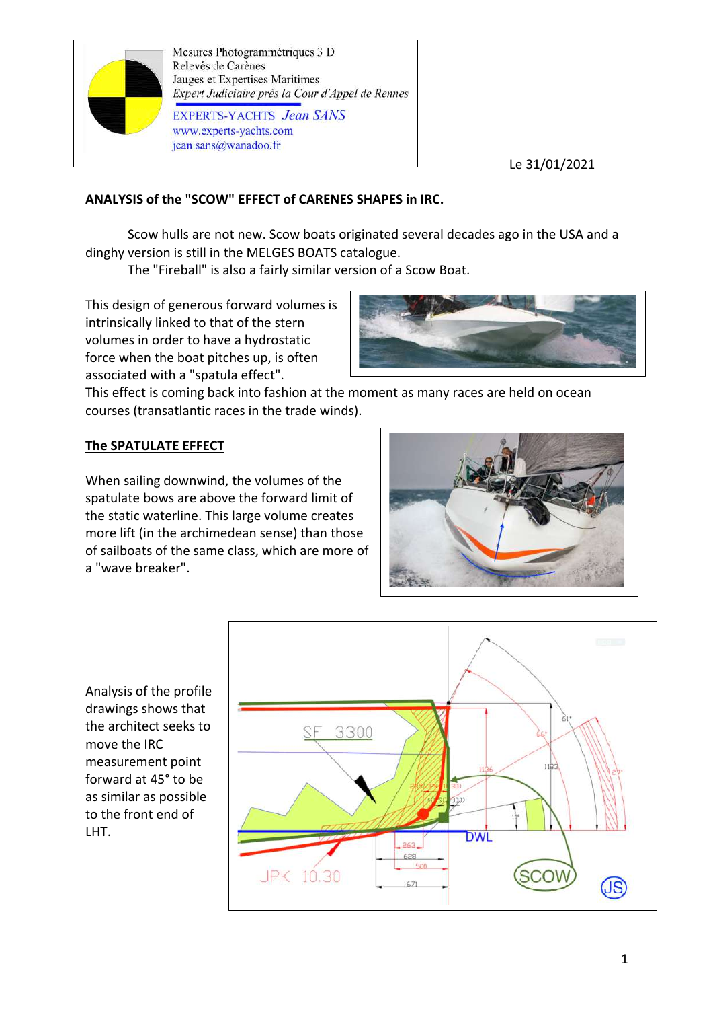

Mesures Photogrammétriques 3 D Relevés de Carènes Jauges et Expertises Maritimes Expert Judiciaire près la Cour d'Appel de Rennes **EXPERTS-YACHTS** Jean SANS www.experts-yachts.com jean.sans@wanadoo.fr

Le 31/01/2021

# **ANALYSIS of the "SCOW" EFFECT of CARENES SHAPES in IRC.**

Scow hulls are not new. Scow boats originated several decades ago in the USA and a dinghy version is still in the MELGES BOATS catalogue.

The "Fireball" is also a fairly similar version of a Scow Boat.

This design of generous forward volumes is intrinsically linked to that of the stern volumes in order to have a hydrostatic force when the boat pitches up, is often associated with a "spatula effect".



This effect is coming back into fashion at the moment as many races are held on ocean courses (transatlantic races in the trade winds).

## **The SPATULATE EFFECT**

When sailing downwind, the volumes of the spatulate bows are above the forward limit of the static waterline. This large volume creates more lift (in the archimedean sense) than those of sailboats of the same class, which are more of a "wave breaker".



Analysis of the profile drawings shows that the architect seeks to move the IRC measurement point forward at 45° to be as similar as possible to the front end of LHT.

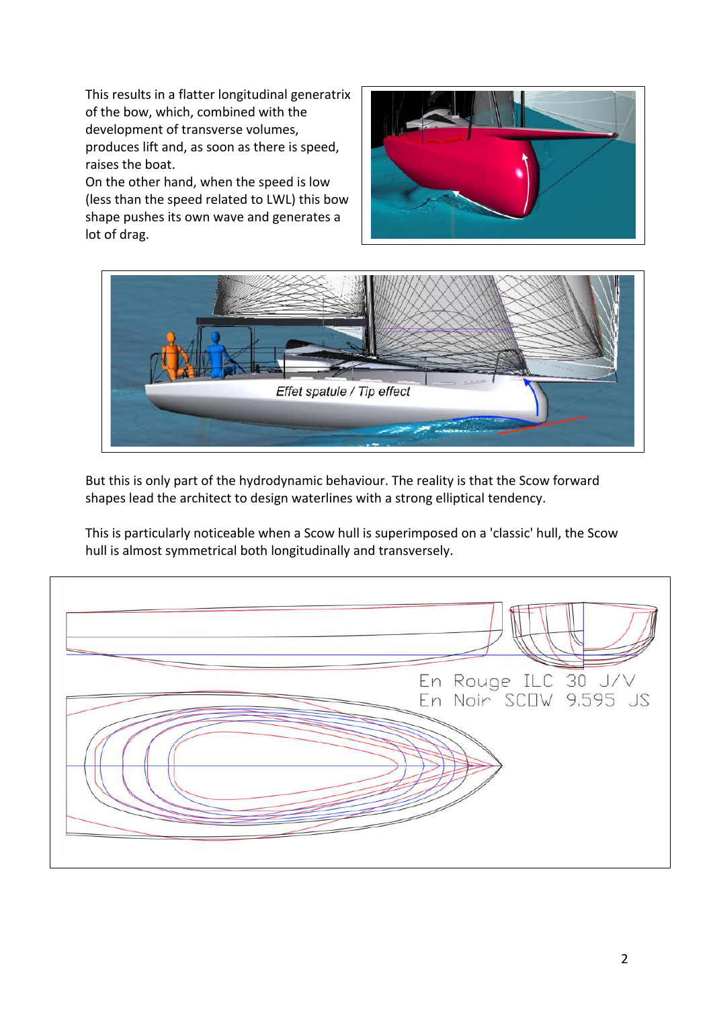This results in a flatter longitudinal generatrix of the bow, which, combined with the development of transverse volumes, produces lift and, as soon as there is speed, raises the boat.

On the other hand, when the speed is low (less than the speed related to LWL) this bow shape pushes its own wave and generates a lot of drag.





But this is only part of the hydrodynamic behaviour. The reality is that the Scow forward shapes lead the architect to design waterlines with a strong elliptical tendency.

This is particularly noticeable when a Scow hull is superimposed on a 'classic' hull, the Scow hull is almost symmetrical both longitudinally and transversely.

En Rouge ILC 30 J/V En Noir SCOW 9.595 JS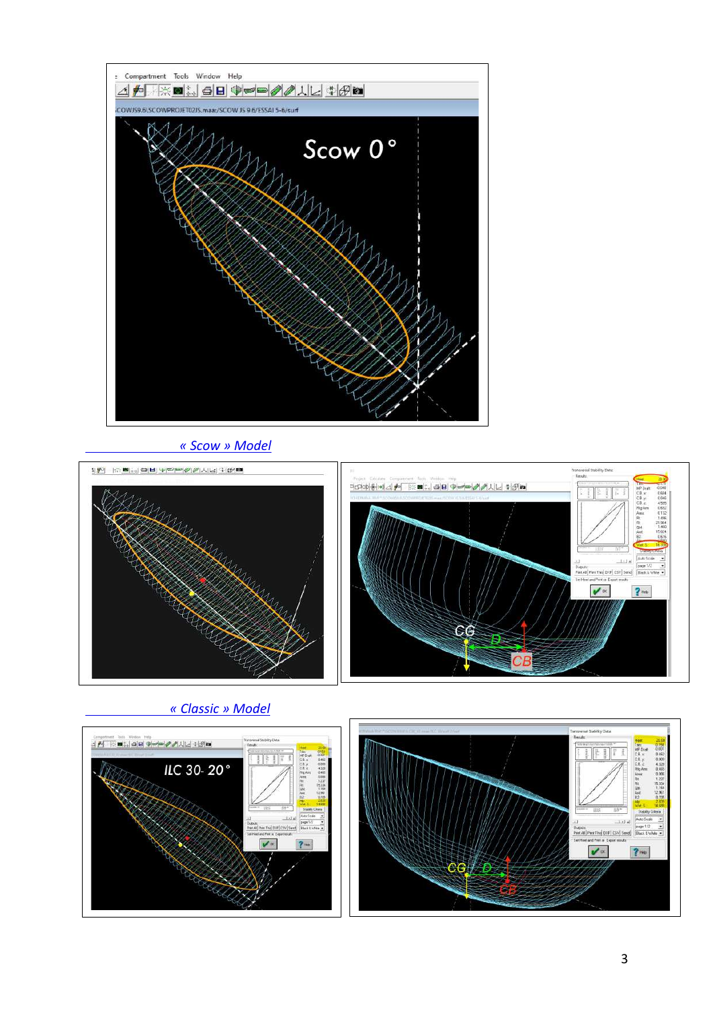

## *« Scow » Model*



 *« Classic » Model*



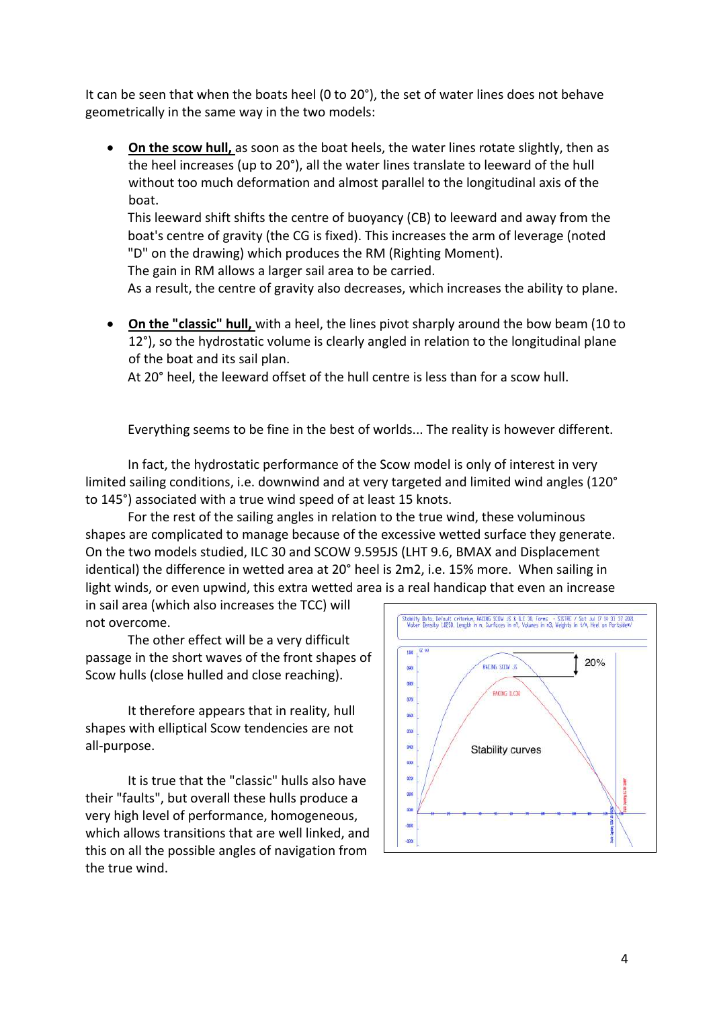It can be seen that when the boats heel (0 to 20°), the set of water lines does not behave geometrically in the same way in the two models:

• **On the scow hull,** as soon as the boat heels, the water lines rotate slightly, then as the heel increases (up to 20°), all the water lines translate to leeward of the hull without too much deformation and almost parallel to the longitudinal axis of the boat.

This leeward shift shifts the centre of buoyancy (CB) to leeward and away from the boat's centre of gravity (the CG is fixed). This increases the arm of leverage (noted "D" on the drawing) which produces the RM (Righting Moment).

The gain in RM allows a larger sail area to be carried.

As a result, the centre of gravity also decreases, which increases the ability to plane.

• **On the "classic" hull,** with a heel, the lines pivot sharply around the bow beam (10 to 12°), so the hydrostatic volume is clearly angled in relation to the longitudinal plane of the boat and its sail plan.

At 20° heel, the leeward offset of the hull centre is less than for a scow hull.

Everything seems to be fine in the best of worlds... The reality is however different.

In fact, the hydrostatic performance of the Scow model is only of interest in very limited sailing conditions, i.e. downwind and at very targeted and limited wind angles (120° to 145°) associated with a true wind speed of at least 15 knots.

For the rest of the sailing angles in relation to the true wind, these voluminous shapes are complicated to manage because of the excessive wetted surface they generate. On the two models studied, ILC 30 and SCOW 9.595JS (LHT 9.6, BMAX and Displacement identical) the difference in wetted area at 20° heel is 2m2, i.e. 15% more. When sailing in light winds, or even upwind, this extra wetted area is a real handicap that even an increase

in sail area (which also increases the TCC) will not overcome.

The other effect will be a very difficult passage in the short waves of the front shapes of Scow hulls (close hulled and close reaching).

It therefore appears that in reality, hull shapes with elliptical Scow tendencies are not all-purpose.

It is true that the "classic" hulls also have their "faults", but overall these hulls produce a very high level of performance, homogeneous, which allows transitions that are well linked, and this on all the possible angles of navigation from the true wind.

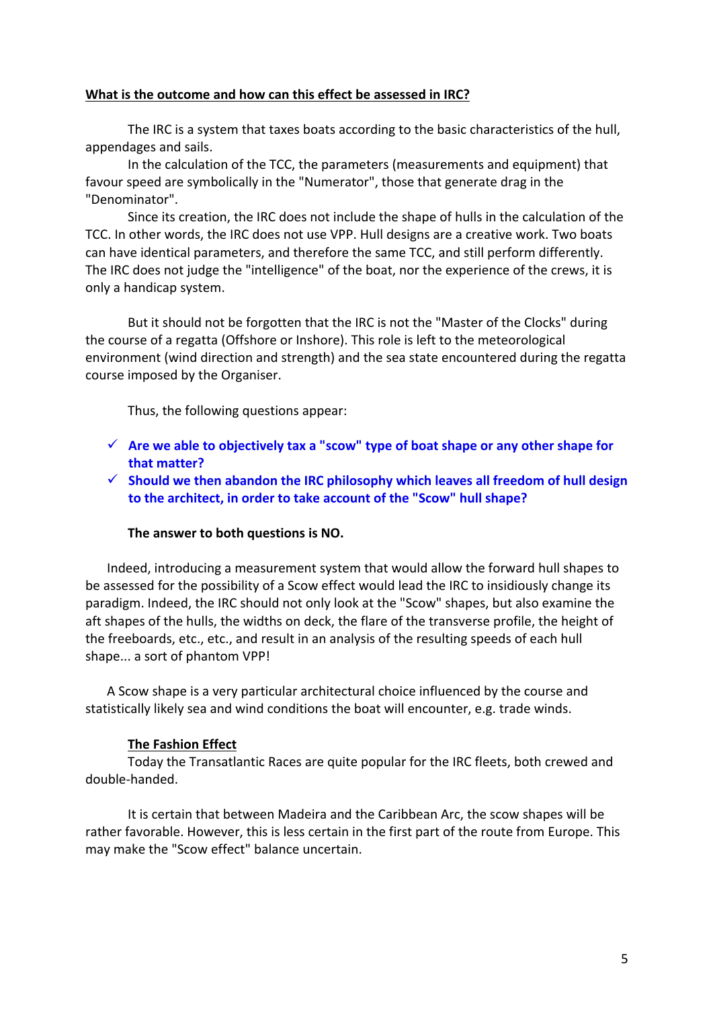### **What is the outcome and how can this effect be assessed in IRC?**

The IRC is a system that taxes boats according to the basic characteristics of the hull, appendages and sails.

In the calculation of the TCC, the parameters (measurements and equipment) that favour speed are symbolically in the "Numerator", those that generate drag in the "Denominator".

Since its creation, the IRC does not include the shape of hulls in the calculation of the TCC. In other words, the IRC does not use VPP. Hull designs are a creative work. Two boats can have identical parameters, and therefore the same TCC, and still perform differently. The IRC does not judge the "intelligence" of the boat, nor the experience of the crews, it is only a handicap system.

But it should not be forgotten that the IRC is not the "Master of the Clocks" during the course of a regatta (Offshore or Inshore). This role is left to the meteorological environment (wind direction and strength) and the sea state encountered during the regatta course imposed by the Organiser.

Thus, the following questions appear:

- $\checkmark$  Are we able to objectively tax a "scow" type of boat shape or any other shape for **that matter?**
- ü **Should we then abandon the IRC philosophy which leaves all freedom of hull design to the architect, in order to take account of the "Scow" hull shape?**

### **The answer to both questions is NO.**

Indeed, introducing a measurement system that would allow the forward hull shapes to be assessed for the possibility of a Scow effect would lead the IRC to insidiously change its paradigm. Indeed, the IRC should not only look at the "Scow" shapes, but also examine the aft shapes of the hulls, the widths on deck, the flare of the transverse profile, the height of the freeboards, etc., etc., and result in an analysis of the resulting speeds of each hull shape... a sort of phantom VPP!

A Scow shape is a very particular architectural choice influenced by the course and statistically likely sea and wind conditions the boat will encounter, e.g. trade winds.

#### **The Fashion Effect**

Today the Transatlantic Races are quite popular for the IRC fleets, both crewed and double-handed.

It is certain that between Madeira and the Caribbean Arc, the scow shapes will be rather favorable. However, this is less certain in the first part of the route from Europe. This may make the "Scow effect" balance uncertain.